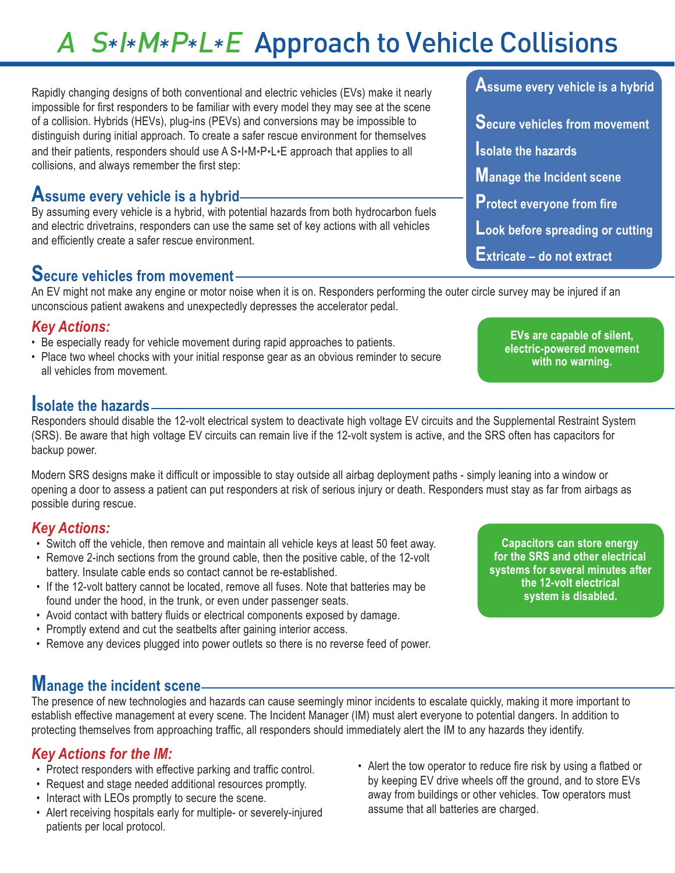# A S\*I\*M\*P\*L\*E Approach to Vehicle Collisions

Rapidly changing designs of both conventional and electric vehicles (EVs) make it nearly impossible for first responders to be familiar with every model they may see at the scene of a collision. Hybrids (HEVs), plug-ins (PEVs) and conversions may be impossible to distinguish during initial approach. To create a safer rescue environment for themselves and their patients, responders should use A  $S*I*M*P*L*E$  approach that applies to all collisions, and always remember the first step:

## **Assume every vehicle is a hybrid**

By assuming every vehicle is a hybrid, with potential hazards from both hydrocarbon fuels and electric drivetrains, responders can use the same set of key actions with all vehicles and efficiently create a safer rescue environment.

# **Secure vehicles from movement**

An EV might not make any engine or motor noise when it is on. Responders performing the outer circle survey may be injured if an unconscious patient awakens and unexpectedly depresses the accelerator pedal.

#### *Key Actions:*

- Be especially ready for vehicle movement during rapid approaches to patients.
- Place two wheel chocks with your initial response gear as an obvious reminder to secure all vehicles from movement.

# **Isolate the hazards**

Responders should disable the 12-volt electrical system to deactivate high voltage EV circuits and the Supplemental Restraint System (SRS). Be aware that high voltage EV circuits can remain live if the 12-volt system is active, and the SRS often has capacitors for backup power.

Modern SRS designs make it difficult or impossible to stay outside all airbag deployment paths - simply leaning into a window or opening a door to assess a patient can put responders at risk of serious injury or death. Responders must stay as far from airbags as possible during rescue.

#### *Key Actions:*

- Switch off the vehicle, then remove and maintain all vehicle keys at least 50 feet away.
- Remove 2-inch sections from the ground cable, then the positive cable, of the 12-volt battery. Insulate cable ends so contact cannot be re-established.
- If the 12-volt battery cannot be located, remove all fuses. Note that batteries may be found under the hood, in the trunk, or even under passenger seats.
- Avoid contact with battery fluids or electrical components exposed by damage.
- Promptly extend and cut the seatbelts after gaining interior access.
- Remove any devices plugged into power outlets so there is no reverse feed of power.

# **Manage the incident scene**

The presence of new technologies and hazards can cause seemingly minor incidents to escalate quickly, making it more important to establish effective management at every scene. The Incident Manager (IM) must alert everyone to potential dangers. In addition to protecting themselves from approaching traffic, all responders should immediately alert the IM to any hazards they identify.

## *Key Actions for the IM:*

- Protect responders with effective parking and traffic control.
- Request and stage needed additional resources promptly.
- Interact with LEOs promptly to secure the scene.
- Alert receiving hospitals early for multiple- or severely-injured patients per local protocol.
- Alert the tow operator to reduce fire risk by using a flatbed or by keeping EV drive wheels off the ground, and to store EVs away from buildings or other vehicles. Tow operators must assume that all batteries are charged.

**Assume every vehicle is a hybrid Secure vehicles from movement Isolate the hazards Manage the Incident scene Protect everyone from fire Look before spreading or cutting Extricate – do not extract**

> **EVs are capable of silent, electric-powered movement with no warning.**

**Capacitors can store energy for the SRS and other electrical systems for several minutes after the 12-volt electrical system is disabled.**